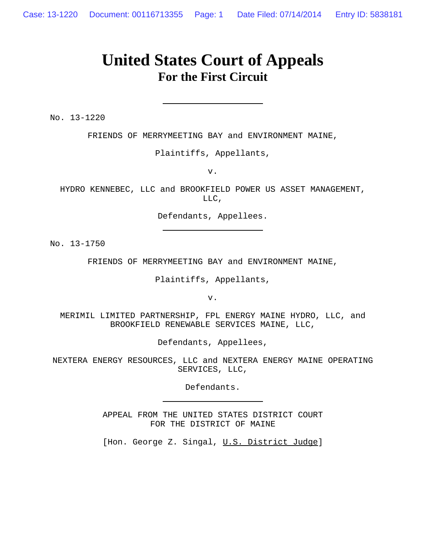## **United States Court of Appeals For the First Circuit**

No. 13-1220

FRIENDS OF MERRYMEETING BAY and ENVIRONMENT MAINE,

Plaintiffs, Appellants,

v.

HYDRO KENNEBEC, LLC and BROOKFIELD POWER US ASSET MANAGEMENT, LLC,

Defendants, Appellees.

No. 13-1750

FRIENDS OF MERRYMEETING BAY and ENVIRONMENT MAINE,

Plaintiffs, Appellants,

v.

MERIMIL LIMITED PARTNERSHIP, FPL ENERGY MAINE HYDRO, LLC, and BROOKFIELD RENEWABLE SERVICES MAINE, LLC,

Defendants, Appellees,

NEXTERA ENERGY RESOURCES, LLC and NEXTERA ENERGY MAINE OPERATING SERVICES, LLC,

Defendants.

APPEAL FROM THE UNITED STATES DISTRICT COURT FOR THE DISTRICT OF MAINE

[Hon. George Z. Singal, U.S. District Judge]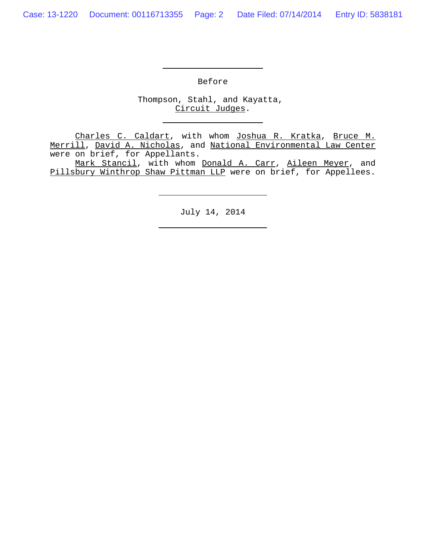Before

Thompson, Stahl, and Kayatta, Circuit Judges.

Charles C. Caldart, with whom Joshua R. Kratka, Bruce M. Merrill, David A. Nicholas, and National Environmental Law Center were on brief, for Appellants.

Mark Stancil, with whom Donald A. Carr, Aileen Meyer, and Pillsbury Winthrop Shaw Pittman LLP were on brief, for Appellees.

July 14, 2014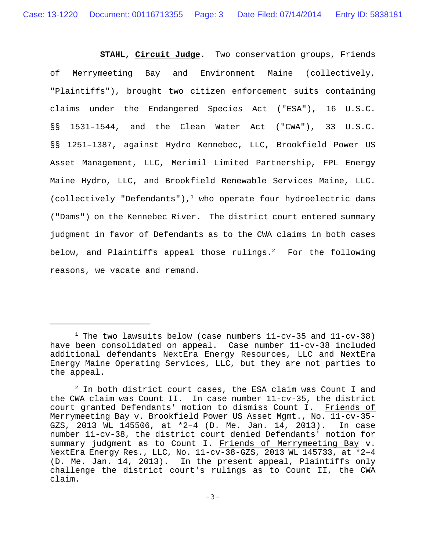**STAHL, Circuit Judge**. Two conservation groups, Friends of Merrymeeting Bay and Environment Maine (collectively, "Plaintiffs"), brought two citizen enforcement suits containing claims under the Endangered Species Act ("ESA"), 16 U.S.C. §§ 1531–1544, and the Clean Water Act ("CWA"), 33 U.S.C. §§ 1251–1387, against Hydro Kennebec, LLC, Brookfield Power US Asset Management, LLC, Merimil Limited Partnership, FPL Energy Maine Hydro, LLC, and Brookfield Renewable Services Maine, LLC. (collectively "Defendants"),<sup>1</sup> who operate four hydroelectric dams ("Dams") on the Kennebec River. The district court entered summary judgment in favor of Defendants as to the CWA claims in both cases below, and Plaintiffs appeal those rulings.<sup>2</sup> For the following reasons, we vacate and remand.

<sup>&</sup>lt;sup>1</sup> The two lawsuits below (case numbers 11-cv-35 and 11-cv-38) have been consolidated on appeal. Case number 11-cv-38 included additional defendants NextEra Energy Resources, LLC and NextEra Energy Maine Operating Services, LLC, but they are not parties to the appeal.

 $^2$  In both district court cases, the ESA claim was Count I and the CWA claim was Count II. In case number 11-cv-35, the district court granted Defendants' motion to dismiss Count I. Friends of Merrymeeting Bay v. Brookfield Power US Asset Mgmt., No. 11-cv-35- GZS, 2013 WL 145506, at \*2–4 (D. Me. Jan. 14, 2013). In case number 11-cv-38, the district court denied Defendants' motion for summary judgment as to Count I. Friends of Merrymeeting Bay v. NextEra Energy Res., LLC, No. 11-cv-38-GZS, 2013 WL 145733, at \*2–4 (D. Me. Jan. 14, 2013). In the present appeal, Plaintiffs only challenge the district court's rulings as to Count II, the CWA claim.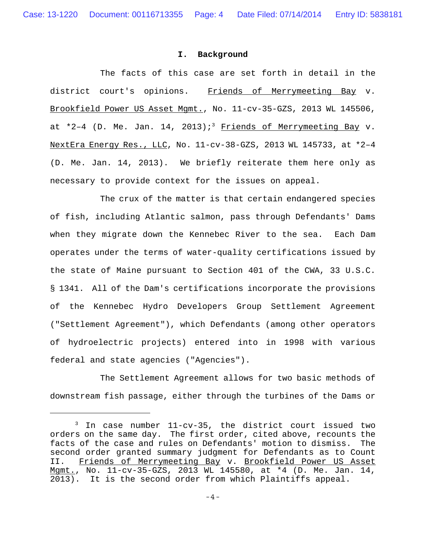## **I. Background**

The facts of this case are set forth in detail in the district court's opinions. Friends of Merrymeeting Bay v. Brookfield Power US Asset Mgmt., No. 11-cv-35-GZS, 2013 WL 145506, at \*2-4 (D. Me. Jan. 14, 2013);<sup>3</sup> Friends of Merrymeeting Bay v. NextEra Energy Res., LLC, No. 11-cv-38-GZS, 2013 WL 145733, at \*2–4 (D. Me. Jan. 14, 2013). We briefly reiterate them here only as necessary to provide context for the issues on appeal.

The crux of the matter is that certain endangered species of fish, including Atlantic salmon, pass through Defendants' Dams when they migrate down the Kennebec River to the sea. Each Dam operates under the terms of water-quality certifications issued by the state of Maine pursuant to Section 401 of the CWA, 33 U.S.C. § 1341. All of the Dam's certifications incorporate the provisions of the Kennebec Hydro Developers Group Settlement Agreement ("Settlement Agreement"), which Defendants (among other operators of hydroelectric projects) entered into in 1998 with various federal and state agencies ("Agencies").

The Settlement Agreement allows for two basic methods of downstream fish passage, either through the turbines of the Dams or

<sup>3</sup> In case number 11-cv-35, the district court issued two orders on the same day. The first order, cited above, recounts the facts of the case and rules on Defendants' motion to dismiss. The second order granted summary judgment for Defendants as to Count II. Friends of Merrymeeting Bay v. Brookfield Power US Asset Mgmt., No. 11-cv-35-GZS, 2013 WL 145580, at \*4 (D. Me. Jan. 14, 2013). It is the second order from which Plaintiffs appeal.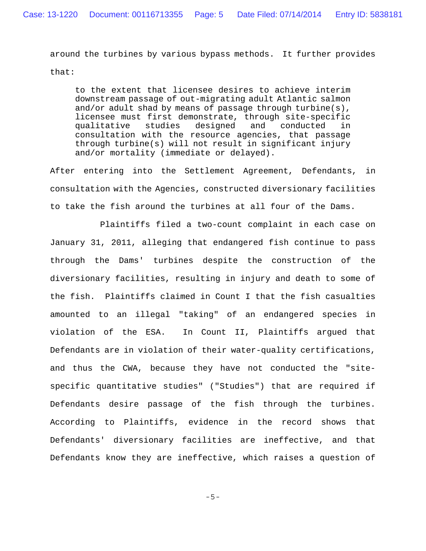around the turbines by various bypass methods. It further provides that:

to the extent that licensee desires to achieve interim downstream passage of out-migrating adult Atlantic salmon and/or adult shad by means of passage through turbine(s), licensee must first demonstrate, through site-specific qualitative studies designed and conducted in consultation with the resource agencies, that passage through turbine(s) will not result in significant injury and/or mortality (immediate or delayed).

After entering into the Settlement Agreement, Defendants, in consultation with the Agencies, constructed diversionary facilities to take the fish around the turbines at all four of the Dams.

Plaintiffs filed a two-count complaint in each case on January 31, 2011, alleging that endangered fish continue to pass through the Dams' turbines despite the construction of the diversionary facilities, resulting in injury and death to some of the fish. Plaintiffs claimed in Count I that the fish casualties amounted to an illegal "taking" of an endangered species in violation of the ESA. In Count II, Plaintiffs argued that Defendants are in violation of their water-quality certifications, and thus the CWA, because they have not conducted the "sitespecific quantitative studies" ("Studies") that are required if Defendants desire passage of the fish through the turbines. According to Plaintiffs, evidence in the record shows that Defendants' diversionary facilities are ineffective, and that Defendants know they are ineffective, which raises a question of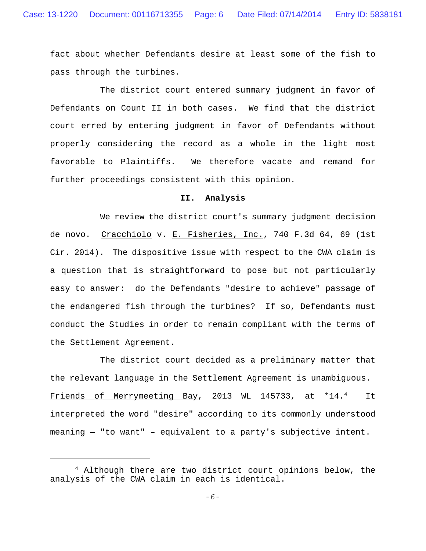fact about whether Defendants desire at least some of the fish to pass through the turbines.

The district court entered summary judgment in favor of Defendants on Count II in both cases. We find that the district court erred by entering judgment in favor of Defendants without properly considering the record as a whole in the light most favorable to Plaintiffs. We therefore vacate and remand for further proceedings consistent with this opinion.

## **II. Analysis**

We review the district court's summary judgment decision de novo. Cracchiolo v. E. Fisheries, Inc., 740 F.3d 64, 69 (1st Cir. 2014). The dispositive issue with respect to the CWA claim is a question that is straightforward to pose but not particularly easy to answer: do the Defendants "desire to achieve" passage of the endangered fish through the turbines? If so, Defendants must conduct the Studies in order to remain compliant with the terms of the Settlement Agreement.

The district court decided as a preliminary matter that the relevant language in the Settlement Agreement is unambiguous. Friends of Merrymeeting Bay, 2013 WL 145733, at \*14.4 It interpreted the word "desire" according to its commonly understood meaning — "to want" – equivalent to a party's subjective intent.

<sup>&</sup>lt;sup>4</sup> Although there are two district court opinions below, the analysis of the CWA claim in each is identical.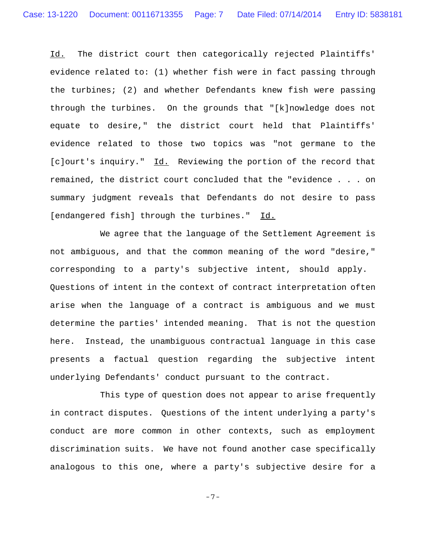Id. The district court then categorically rejected Plaintiffs' evidence related to: (1) whether fish were in fact passing through the turbines; (2) and whether Defendants knew fish were passing through the turbines. On the grounds that "[k]nowledge does not equate to desire," the district court held that Plaintiffs' evidence related to those two topics was "not germane to the [c]ourt's inquiry." Id. Reviewing the portion of the record that remained, the district court concluded that the "evidence . . . on summary judgment reveals that Defendants do not desire to pass [endangered fish] through the turbines." Id.

We agree that the language of the Settlement Agreement is not ambiguous, and that the common meaning of the word "desire," corresponding to a party's subjective intent, should apply. Questions of intent in the context of contract interpretation often arise when the language of a contract is ambiguous and we must determine the parties' intended meaning. That is not the question here. Instead, the unambiguous contractual language in this case presents a factual question regarding the subjective intent underlying Defendants' conduct pursuant to the contract.

This type of question does not appear to arise frequently in contract disputes. Questions of the intent underlying a party's conduct are more common in other contexts, such as employment discrimination suits. We have not found another case specifically analogous to this one, where a party's subjective desire for a

-7-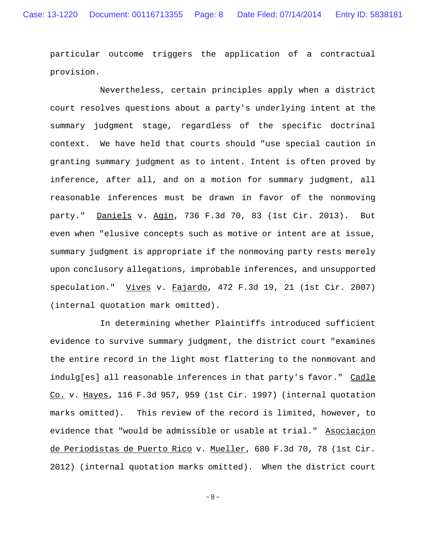particular outcome triggers the application of a contractual provision.

Nevertheless, certain principles apply when a district court resolves questions about a party's underlying intent at the summary judgment stage, regardless of the specific doctrinal context. We have held that courts should "use special caution in granting summary judgment as to intent. Intent is often proved by inference, after all, and on a motion for summary judgment, all reasonable inferences must be drawn in favor of the nonmoving party." Daniels v. Agin, 736 F.3d 70, 83 (1st Cir. 2013). But even when "elusive concepts such as motive or intent are at issue, summary judgment is appropriate if the nonmoving party rests merely upon conclusory allegations, improbable inferences, and unsupported speculation." Vives v. Fajardo, 472 F.3d 19, 21 (1st Cir. 2007) (internal quotation mark omitted).

In determining whether Plaintiffs introduced sufficient evidence to survive summary judgment, the district court "examines the entire record in the light most flattering to the nonmovant and indulg[es] all reasonable inferences in that party's favor." Cadle Co. v. Hayes, 116 F.3d 957, 959 (1st Cir. 1997) (internal quotation marks omitted). This review of the record is limited, however, to evidence that "would be admissible or usable at trial." Asociacion de Periodistas de Puerto Rico v. Mueller, 680 F.3d 70, 78 (1st Cir. 2012) (internal quotation marks omitted). When the district court

-8-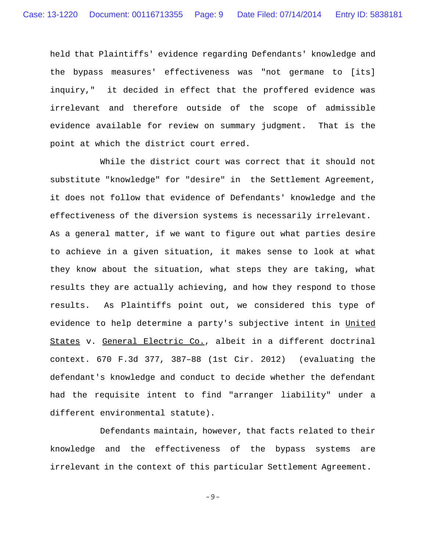held that Plaintiffs' evidence regarding Defendants' knowledge and the bypass measures' effectiveness was "not germane to [its] inquiry," it decided in effect that the proffered evidence was irrelevant and therefore outside of the scope of admissible evidence available for review on summary judgment. That is the point at which the district court erred.

While the district court was correct that it should not substitute "knowledge" for "desire" in the Settlement Agreement, it does not follow that evidence of Defendants' knowledge and the effectiveness of the diversion systems is necessarily irrelevant. As a general matter, if we want to figure out what parties desire to achieve in a given situation, it makes sense to look at what they know about the situation, what steps they are taking, what results they are actually achieving, and how they respond to those results. As Plaintiffs point out, we considered this type of evidence to help determine a party's subjective intent in United States v. General Electric Co., albeit in a different doctrinal context. 670 F.3d 377, 387–88 (1st Cir. 2012) (evaluating the defendant's knowledge and conduct to decide whether the defendant had the requisite intent to find "arranger liability" under a different environmental statute).

Defendants maintain, however, that facts related to their knowledge and the effectiveness of the bypass systems are irrelevant in the context of this particular Settlement Agreement.

-9-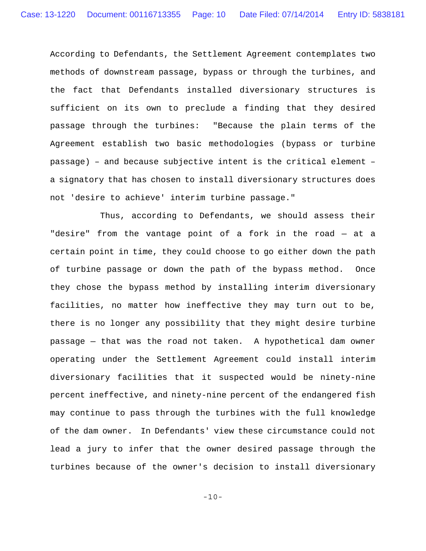According to Defendants, the Settlement Agreement contemplates two methods of downstream passage, bypass or through the turbines, and the fact that Defendants installed diversionary structures is sufficient on its own to preclude a finding that they desired passage through the turbines: "Because the plain terms of the Agreement establish two basic methodologies (bypass or turbine passage) – and because subjective intent is the critical element – a signatory that has chosen to install diversionary structures does not 'desire to achieve' interim turbine passage."

Thus, according to Defendants, we should assess their "desire" from the vantage point of a fork in the road — at a certain point in time, they could choose to go either down the path of turbine passage or down the path of the bypass method. Once they chose the bypass method by installing interim diversionary facilities, no matter how ineffective they may turn out to be, there is no longer any possibility that they might desire turbine passage — that was the road not taken. A hypothetical dam owner operating under the Settlement Agreement could install interim diversionary facilities that it suspected would be ninety-nine percent ineffective, and ninety-nine percent of the endangered fish may continue to pass through the turbines with the full knowledge of the dam owner. In Defendants' view these circumstance could not lead a jury to infer that the owner desired passage through the turbines because of the owner's decision to install diversionary

-10-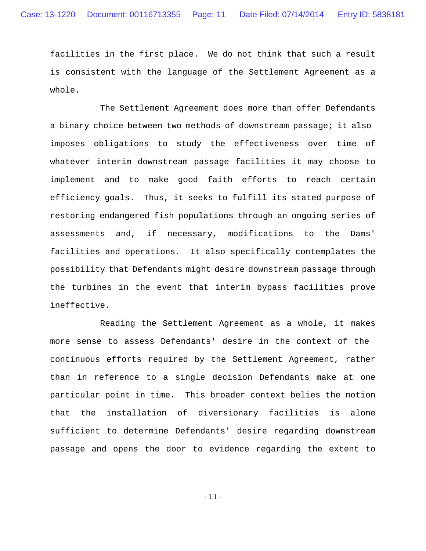facilities in the first place. We do not think that such a result is consistent with the language of the Settlement Agreement as a whole.

The Settlement Agreement does more than offer Defendants a binary choice between two methods of downstream passage; it also imposes obligations to study the effectiveness over time of whatever interim downstream passage facilities it may choose to implement and to make good faith efforts to reach certain efficiency goals. Thus, it seeks to fulfill its stated purpose of restoring endangered fish populations through an ongoing series of assessments and, if necessary, modifications to the Dams' facilities and operations. It also specifically contemplates the possibility that Defendants might desire downstream passage through the turbines in the event that interim bypass facilities prove ineffective.

Reading the Settlement Agreement as a whole, it makes more sense to assess Defendants' desire in the context of the continuous efforts required by the Settlement Agreement, rather than in reference to a single decision Defendants make at one particular point in time. This broader context belies the notion that the installation of diversionary facilities is alone sufficient to determine Defendants' desire regarding downstream passage and opens the door to evidence regarding the extent to

-11-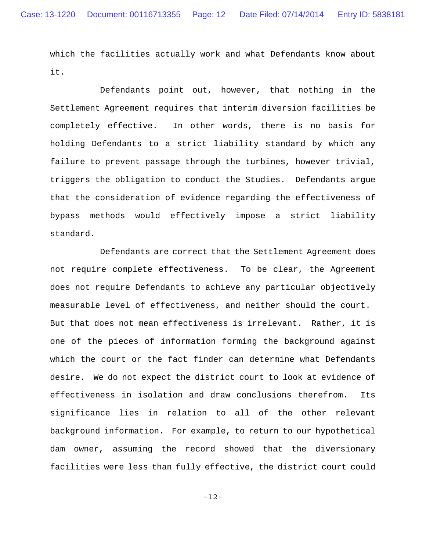which the facilities actually work and what Defendants know about it.

Defendants point out, however, that nothing in the Settlement Agreement requires that interim diversion facilities be completely effective. In other words, there is no basis for holding Defendants to a strict liability standard by which any failure to prevent passage through the turbines, however trivial, triggers the obligation to conduct the Studies. Defendants argue that the consideration of evidence regarding the effectiveness of bypass methods would effectively impose a strict liability standard.

Defendants are correct that the Settlement Agreement does not require complete effectiveness. To be clear, the Agreement does not require Defendants to achieve any particular objectively measurable level of effectiveness, and neither should the court. But that does not mean effectiveness is irrelevant. Rather, it is one of the pieces of information forming the background against which the court or the fact finder can determine what Defendants desire. We do not expect the district court to look at evidence of effectiveness in isolation and draw conclusions therefrom. Its significance lies in relation to all of the other relevant background information. For example, to return to our hypothetical dam owner, assuming the record showed that the diversionary facilities were less than fully effective, the district court could

-12-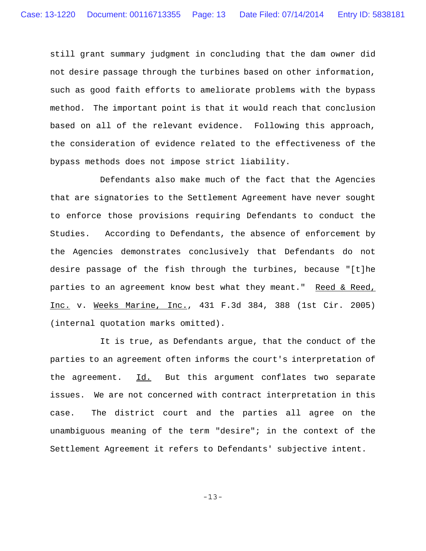still grant summary judgment in concluding that the dam owner did not desire passage through the turbines based on other information, such as good faith efforts to ameliorate problems with the bypass method. The important point is that it would reach that conclusion based on all of the relevant evidence. Following this approach, the consideration of evidence related to the effectiveness of the bypass methods does not impose strict liability.

Defendants also make much of the fact that the Agencies that are signatories to the Settlement Agreement have never sought to enforce those provisions requiring Defendants to conduct the Studies. According to Defendants, the absence of enforcement by the Agencies demonstrates conclusively that Defendants do not desire passage of the fish through the turbines, because "[t]he parties to an agreement know best what they meant." Reed & Reed, Inc. v. Weeks Marine, Inc., 431 F.3d 384, 388 (1st Cir. 2005) (internal quotation marks omitted).

It is true, as Defendants argue, that the conduct of the parties to an agreement often informs the court's interpretation of the agreement. Id. But this argument conflates two separate issues. We are not concerned with contract interpretation in this case. The district court and the parties all agree on the unambiguous meaning of the term "desire"; in the context of the Settlement Agreement it refers to Defendants' subjective intent.

-13-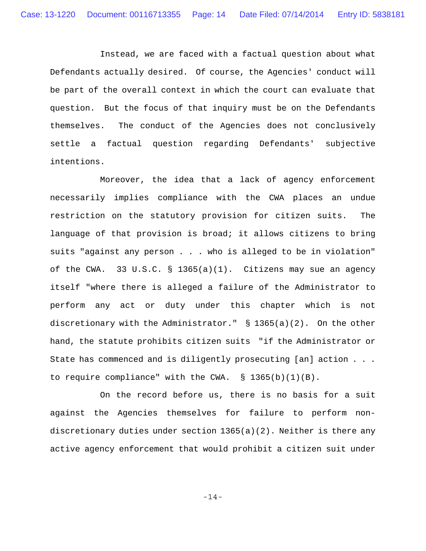Instead, we are faced with a factual question about what Defendants actually desired. Of course, the Agencies' conduct will be part of the overall context in which the court can evaluate that question. But the focus of that inquiry must be on the Defendants themselves. The conduct of the Agencies does not conclusively settle a factual question regarding Defendants' subjective intentions.

Moreover, the idea that a lack of agency enforcement necessarily implies compliance with the CWA places an undue restriction on the statutory provision for citizen suits. The language of that provision is broad; it allows citizens to bring suits "against any person . . . who is alleged to be in violation" of the CWA. 33 U.S.C. § 1365(a)(1). Citizens may sue an agency itself "where there is alleged a failure of the Administrator to perform any act or duty under this chapter which is not discretionary with the Administrator."  $\S$  1365(a)(2). On the other hand, the statute prohibits citizen suits "if the Administrator or State has commenced and is diligently prosecuting [an] action . . . to require compliance" with the CWA.  $\S$  1365(b)(1)(B).

On the record before us, there is no basis for a suit against the Agencies themselves for failure to perform nondiscretionary duties under section 1365(a)(2). Neither is there any active agency enforcement that would prohibit a citizen suit under

-14-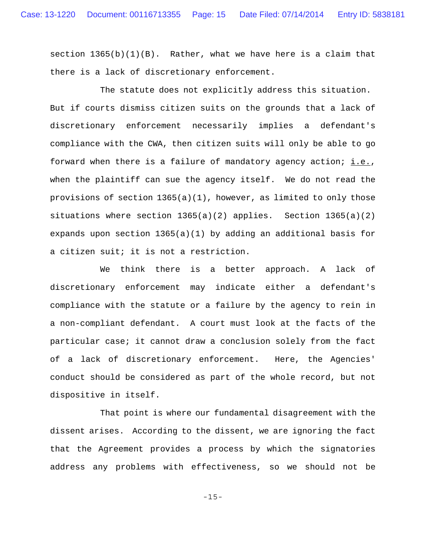section  $1365(b)(1)(B)$ . Rather, what we have here is a claim that there is a lack of discretionary enforcement.

The statute does not explicitly address this situation. But if courts dismiss citizen suits on the grounds that a lack of discretionary enforcement necessarily implies a defendant's compliance with the CWA, then citizen suits will only be able to go forward when there is a failure of mandatory agency action;  $i.e.,$ when the plaintiff can sue the agency itself. We do not read the provisions of section  $1365(a)(1)$ , however, as limited to only those situations where section  $1365(a)(2)$  applies. Section  $1365(a)(2)$ expands upon section  $1365(a)(1)$  by adding an additional basis for a citizen suit; it is not a restriction.

We think there is a better approach. A lack of discretionary enforcement may indicate either a defendant's compliance with the statute or a failure by the agency to rein in a non-compliant defendant. A court must look at the facts of the particular case; it cannot draw a conclusion solely from the fact of a lack of discretionary enforcement. Here, the Agencies' conduct should be considered as part of the whole record, but not dispositive in itself.

That point is where our fundamental disagreement with the dissent arises. According to the dissent, we are ignoring the fact that the Agreement provides a process by which the signatories address any problems with effectiveness, so we should not be

-15-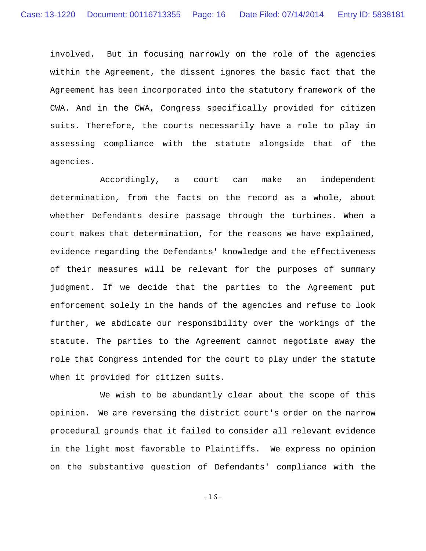involved. But in focusing narrowly on the role of the agencies within the Agreement, the dissent ignores the basic fact that the Agreement has been incorporated into the statutory framework of the CWA. And in the CWA, Congress specifically provided for citizen suits. Therefore, the courts necessarily have a role to play in assessing compliance with the statute alongside that of the agencies.

Accordingly, a court can make an independent determination, from the facts on the record as a whole, about whether Defendants desire passage through the turbines. When a court makes that determination, for the reasons we have explained, evidence regarding the Defendants' knowledge and the effectiveness of their measures will be relevant for the purposes of summary judgment. If we decide that the parties to the Agreement put enforcement solely in the hands of the agencies and refuse to look further, we abdicate our responsibility over the workings of the statute. The parties to the Agreement cannot negotiate away the role that Congress intended for the court to play under the statute when it provided for citizen suits.

We wish to be abundantly clear about the scope of this opinion. We are reversing the district court's order on the narrow procedural grounds that it failed to consider all relevant evidence in the light most favorable to Plaintiffs. We express no opinion on the substantive question of Defendants' compliance with the

-16-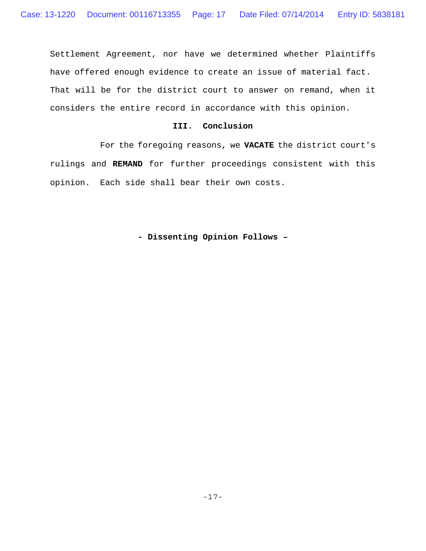Settlement Agreement, nor have we determined whether Plaintiffs have offered enough evidence to create an issue of material fact. That will be for the district court to answer on remand, when it considers the entire record in accordance with this opinion.

## **III. Conclusion**

For the foregoing reasons, we **VACATE** the district court's rulings and **REMAND** for further proceedings consistent with this opinion. Each side shall bear their own costs.

**- Dissenting Opinion Follows –**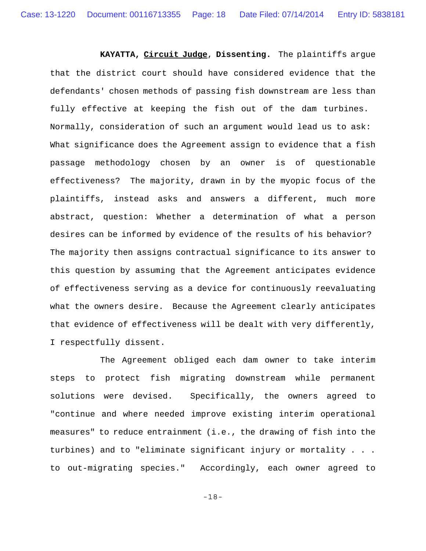**KAYATTA, Circuit Judge**, **Dissenting.** The plaintiffs argue that the district court should have considered evidence that the defendants' chosen methods of passing fish downstream are less than fully effective at keeping the fish out of the dam turbines. Normally, consideration of such an argument would lead us to ask: What significance does the Agreement assign to evidence that a fish passage methodology chosen by an owner is of questionable effectiveness? The majority, drawn in by the myopic focus of the plaintiffs, instead asks and answers a different, much more abstract, question: Whether a determination of what a person desires can be informed by evidence of the results of his behavior? The majority then assigns contractual significance to its answer to this question by assuming that the Agreement anticipates evidence of effectiveness serving as a device for continuously reevaluating what the owners desire. Because the Agreement clearly anticipates that evidence of effectiveness will be dealt with very differently, I respectfully dissent.

The Agreement obliged each dam owner to take interim steps to protect fish migrating downstream while permanent solutions were devised. Specifically, the owners agreed to "continue and where needed improve existing interim operational measures" to reduce entrainment (i.e., the drawing of fish into the turbines) and to "eliminate significant injury or mortality . . . to out-migrating species." Accordingly, each owner agreed to

-18-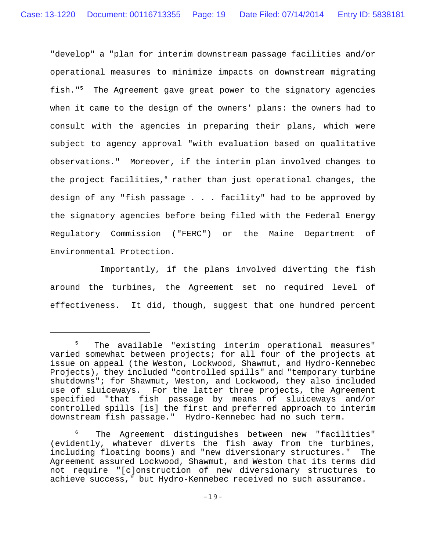"develop" a "plan for interim downstream passage facilities and/or operational measures to minimize impacts on downstream migrating fish."5 The Agreement gave great power to the signatory agencies when it came to the design of the owners' plans: the owners had to consult with the agencies in preparing their plans, which were subject to agency approval "with evaluation based on qualitative observations." Moreover, if the interim plan involved changes to the project facilities,<sup>6</sup> rather than just operational changes, the design of any "fish passage . . . facility" had to be approved by the signatory agencies before being filed with the Federal Energy Regulatory Commission ("FERC") or the Maine Department of Environmental Protection.

Importantly, if the plans involved diverting the fish around the turbines, the Agreement set no required level of effectiveness. It did, though, suggest that one hundred percent

<sup>5</sup> The available "existing interim operational measures" varied somewhat between projects; for all four of the projects at issue on appeal (the Weston, Lockwood, Shawmut, and Hydro-Kennebec Projects), they included "controlled spills" and "temporary turbine shutdowns"; for Shawmut, Weston, and Lockwood, they also included use of sluiceways. For the latter three projects, the Agreement specified "that fish passage by means of sluiceways and/or controlled spills [is] the first and preferred approach to interim downstream fish passage." Hydro-Kennebec had no such term.

<sup>6</sup> The Agreement distinguishes between new "facilities" (evidently, whatever diverts the fish away from the turbines, including floating booms) and "new diversionary structures." The Agreement assured Lockwood, Shawmut, and Weston that its terms did not require "[c]onstruction of new diversionary structures to achieve success," but Hydro-Kennebec received no such assurance.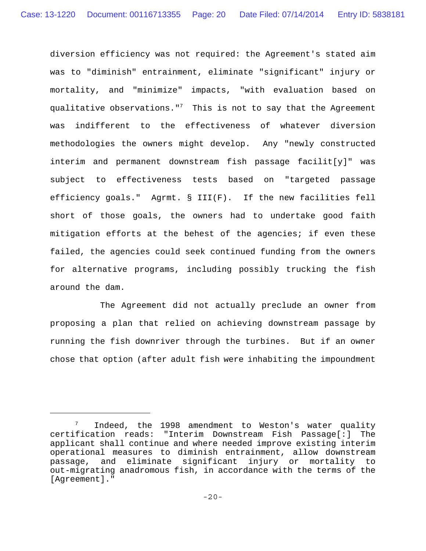diversion efficiency was not required: the Agreement's stated aim was to "diminish" entrainment, eliminate "significant" injury or mortality, and "minimize" impacts, "with evaluation based on qualitative observations." $^7$  This is not to say that the Agreement was indifferent to the effectiveness of whatever diversion methodologies the owners might develop. Any "newly constructed interim and permanent downstream fish passage facilit[y]" was subject to effectiveness tests based on "targeted passage efficiency goals." Agrmt. § III(F). If the new facilities fell short of those goals, the owners had to undertake good faith mitigation efforts at the behest of the agencies; if even these failed, the agencies could seek continued funding from the owners for alternative programs, including possibly trucking the fish around the dam.

The Agreement did not actually preclude an owner from proposing a plan that relied on achieving downstream passage by running the fish downriver through the turbines. But if an owner chose that option (after adult fish were inhabiting the impoundment

<sup>7</sup> Indeed, the 1998 amendment to Weston's water quality certification reads: "Interim Downstream Fish Passage[:] The applicant shall continue and where needed improve existing interim operational measures to diminish entrainment, allow downstream passage, and eliminate significant injury or mortality to out-migrating anadromous fish, in accordance with the terms of the [Agreement]."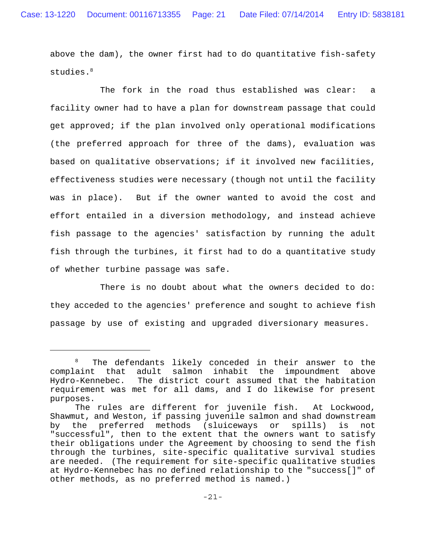above the dam), the owner first had to do quantitative fish-safety studies.<sup>8</sup>

The fork in the road thus established was clear: a facility owner had to have a plan for downstream passage that could get approved; if the plan involved only operational modifications (the preferred approach for three of the dams), evaluation was based on qualitative observations; if it involved new facilities, effectiveness studies were necessary (though not until the facility was in place). But if the owner wanted to avoid the cost and effort entailed in a diversion methodology, and instead achieve fish passage to the agencies' satisfaction by running the adult fish through the turbines, it first had to do a quantitative study of whether turbine passage was safe.

There is no doubt about what the owners decided to do: they acceded to the agencies' preference and sought to achieve fish passage by use of existing and upgraded diversionary measures.

<sup>&</sup>lt;sup>8</sup> The defendants likely conceded in their answer to the complaint that adult salmon inhabit the impoundment above Hydro-Kennebec. The district court assumed that the habitation requirement was met for all dams, and I do likewise for present purposes.

The rules are different for juvenile fish. At Lockwood, Shawmut, and Weston, if passing juvenile salmon and shad downstream by the preferred methods (sluiceways or spills) is not "successful", then to the extent that the owners want to satisfy their obligations under the Agreement by choosing to send the fish through the turbines, site-specific qualitative survival studies are needed. (The requirement for site-specific qualitative studies at Hydro-Kennebec has no defined relationship to the "success[]" of other methods, as no preferred method is named.)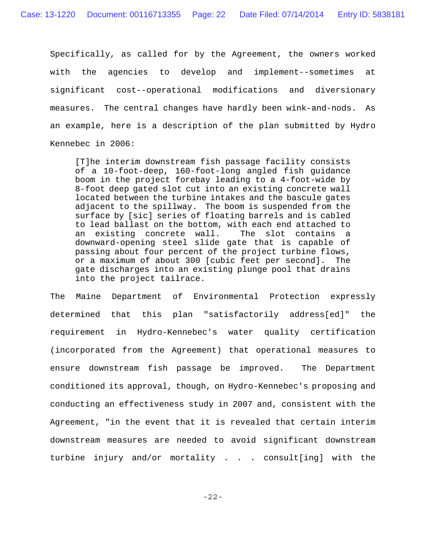Specifically, as called for by the Agreement, the owners worked with the agencies to develop and implement--sometimes at significant cost--operational modifications and diversionary measures. The central changes have hardly been wink-and-nods. As an example, here is a description of the plan submitted by Hydro Kennebec in 2006:

[T]he interim downstream fish passage facility consists of a 10-foot-deep, 160-foot-long angled fish guidance boom in the project forebay leading to a 4-foot-wide by 8-foot deep gated slot cut into an existing concrete wall located between the turbine intakes and the bascule gates adjacent to the spillway. The boom is suspended from the surface by [sic] series of floating barrels and is cabled to lead ballast on the bottom, with each end attached to an existing concrete wall. The slot contains a downward-opening steel slide gate that is capable of passing about four percent of the project turbine flows, or a maximum of about 300 [cubic feet per second]. The gate discharges into an existing plunge pool that drains into the project tailrace.

The Maine Department of Environmental Protection expressly determined that this plan "satisfactorily address[ed]" the requirement in Hydro-Kennebec's water quality certification (incorporated from the Agreement) that operational measures to ensure downstream fish passage be improved. The Department conditioned its approval, though, on Hydro-Kennebec's proposing and conducting an effectiveness study in 2007 and, consistent with the Agreement, "in the event that it is revealed that certain interim downstream measures are needed to avoid significant downstream turbine injury and/or mortality . . . consult[ing] with the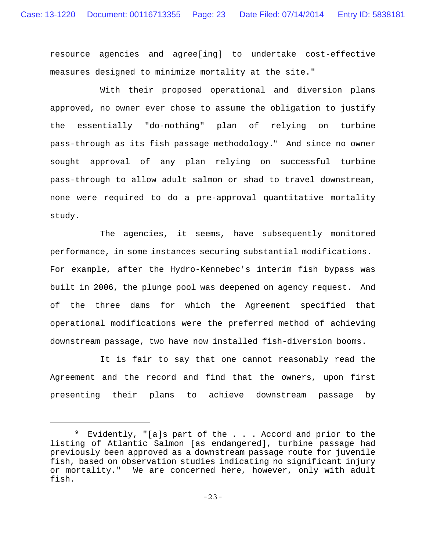resource agencies and agree[ing] to undertake cost-effective measures designed to minimize mortality at the site."

With their proposed operational and diversion plans approved, no owner ever chose to assume the obligation to justify the essentially "do-nothing" plan of relying on turbine pass-through as its fish passage methodology.<sup>9</sup> And since no owner sought approval of any plan relying on successful turbine pass-through to allow adult salmon or shad to travel downstream, none were required to do a pre-approval quantitative mortality study.

The agencies, it seems, have subsequently monitored performance, in some instances securing substantial modifications. For example, after the Hydro-Kennebec's interim fish bypass was built in 2006, the plunge pool was deepened on agency request. And of the three dams for which the Agreement specified that operational modifications were the preferred method of achieving downstream passage, two have now installed fish-diversion booms.

It is fair to say that one cannot reasonably read the Agreement and the record and find that the owners, upon first presenting their plans to achieve downstream passage by

<sup>&</sup>lt;sup>9</sup> Evidently, "[a]s part of the . . . Accord and prior to the listing of Atlantic Salmon [as endangered], turbine passage had previously been approved as a downstream passage route for juvenile fish, based on observation studies indicating no significant injury or mortality." We are concerned here, however, only with adult fish.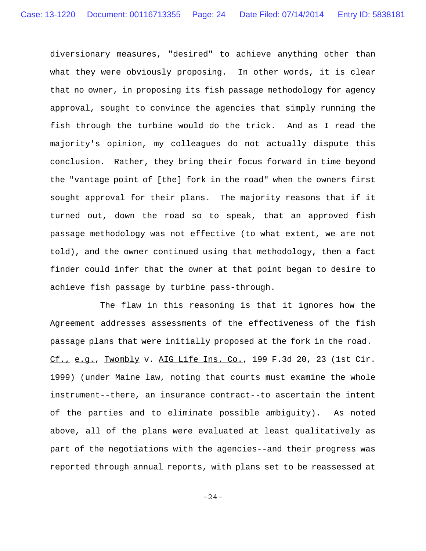diversionary measures, "desired" to achieve anything other than what they were obviously proposing. In other words, it is clear that no owner, in proposing its fish passage methodology for agency approval, sought to convince the agencies that simply running the fish through the turbine would do the trick. And as I read the majority's opinion, my colleagues do not actually dispute this conclusion. Rather, they bring their focus forward in time beyond the "vantage point of [the] fork in the road" when the owners first sought approval for their plans. The majority reasons that if it turned out, down the road so to speak, that an approved fish passage methodology was not effective (to what extent, we are not told), and the owner continued using that methodology, then a fact finder could infer that the owner at that point began to desire to achieve fish passage by turbine pass-through.

The flaw in this reasoning is that it ignores how the Agreement addresses assessments of the effectiveness of the fish passage plans that were initially proposed at the fork in the road. Cf., e.g., Twombly v. AIG Life Ins. Co., 199 F.3d 20, 23 (1st Cir. 1999) (under Maine law, noting that courts must examine the whole instrument--there, an insurance contract--to ascertain the intent of the parties and to eliminate possible ambiguity). As noted above, all of the plans were evaluated at least qualitatively as part of the negotiations with the agencies--and their progress was reported through annual reports, with plans set to be reassessed at

-24-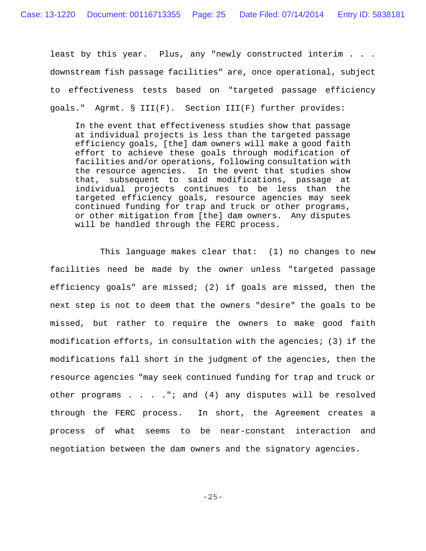least by this year. Plus, any "newly constructed interim . . . downstream fish passage facilities" are, once operational, subject to effectiveness tests based on "targeted passage efficiency goals." Agrmt. § III(F). Section III(F) further provides:

In the event that effectiveness studies show that passage at individual projects is less than the targeted passage efficiency goals, [the] dam owners will make a good faith effort to achieve these goals through modification of facilities and/or operations, following consultation with the resource agencies. In the event that studies show that, subsequent to said modifications, passage at individual projects continues to be less than the targeted efficiency goals, resource agencies may seek continued funding for trap and truck or other programs, or other mitigation from [the] dam owners. Any disputes will be handled through the FERC process.

This language makes clear that: (1) no changes to new facilities need be made by the owner unless "targeted passage efficiency goals" are missed; (2) if goals are missed, then the next step is not to deem that the owners "desire" the goals to be missed, but rather to require the owners to make good faith modification efforts, in consultation with the agencies; (3) if the modifications fall short in the judgment of the agencies, then the resource agencies "may seek continued funding for trap and truck or other programs . . . ."; and (4) any disputes will be resolved through the FERC process. In short, the Agreement creates a process of what seems to be near-constant interaction and negotiation between the dam owners and the signatory agencies.

-25-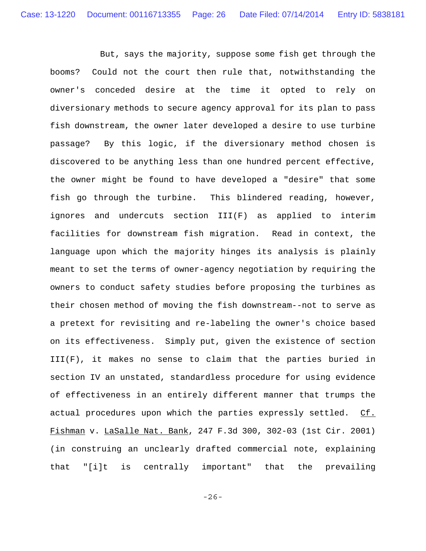But, says the majority, suppose some fish get through the booms? Could not the court then rule that, notwithstanding the owner's conceded desire at the time it opted to rely on diversionary methods to secure agency approval for its plan to pass fish downstream, the owner later developed a desire to use turbine passage? By this logic, if the diversionary method chosen is discovered to be anything less than one hundred percent effective, the owner might be found to have developed a "desire" that some fish go through the turbine. This blindered reading, however, ignores and undercuts section III(F) as applied to interim facilities for downstream fish migration. Read in context, the language upon which the majority hinges its analysis is plainly meant to set the terms of owner-agency negotiation by requiring the owners to conduct safety studies before proposing the turbines as their chosen method of moving the fish downstream--not to serve as a pretext for revisiting and re-labeling the owner's choice based on its effectiveness. Simply put, given the existence of section III(F), it makes no sense to claim that the parties buried in section IV an unstated, standardless procedure for using evidence of effectiveness in an entirely different manner that trumps the actual procedures upon which the parties expressly settled. Cf. Fishman v. LaSalle Nat. Bank, 247 F.3d 300, 302-03 (1st Cir. 2001) (in construing an unclearly drafted commercial note, explaining that "[i]t is centrally important" that the prevailing

-26-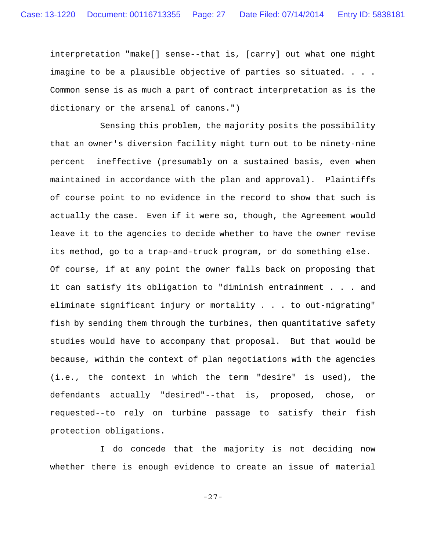interpretation "make[] sense--that is, [carry] out what one might imagine to be a plausible objective of parties so situated. . . . Common sense is as much a part of contract interpretation as is the dictionary or the arsenal of canons.")

Sensing this problem, the majority posits the possibility that an owner's diversion facility might turn out to be ninety-nine percent ineffective (presumably on a sustained basis, even when maintained in accordance with the plan and approval). Plaintiffs of course point to no evidence in the record to show that such is actually the case. Even if it were so, though, the Agreement would leave it to the agencies to decide whether to have the owner revise its method, go to a trap-and-truck program, or do something else. Of course, if at any point the owner falls back on proposing that it can satisfy its obligation to "diminish entrainment . . . and eliminate significant injury or mortality . . . to out-migrating" fish by sending them through the turbines, then quantitative safety studies would have to accompany that proposal. But that would be because, within the context of plan negotiations with the agencies (i.e., the context in which the term "desire" is used), the defendants actually "desired"--that is, proposed, chose, or requested--to rely on turbine passage to satisfy their fish protection obligations.

I do concede that the majority is not deciding now whether there is enough evidence to create an issue of material

-27-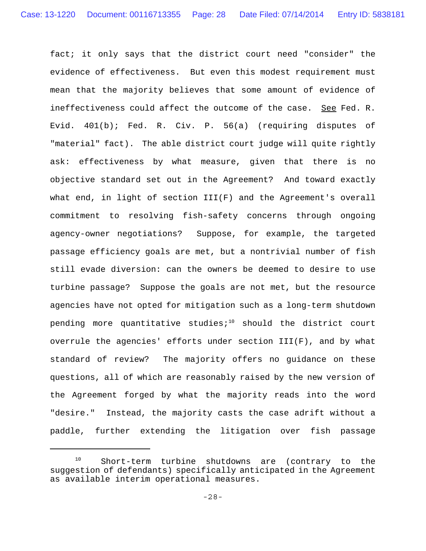fact; it only says that the district court need "consider" the evidence of effectiveness. But even this modest requirement must mean that the majority believes that some amount of evidence of ineffectiveness could affect the outcome of the case. See Fed. R. Evid. 401(b); Fed. R. Civ. P. 56(a) (requiring disputes of "material" fact). The able district court judge will quite rightly ask: effectiveness by what measure, given that there is no objective standard set out in the Agreement? And toward exactly what end, in light of section III(F) and the Agreement's overall commitment to resolving fish-safety concerns through ongoing agency-owner negotiations? Suppose, for example, the targeted passage efficiency goals are met, but a nontrivial number of fish still evade diversion: can the owners be deemed to desire to use turbine passage? Suppose the goals are not met, but the resource agencies have not opted for mitigation such as a long-term shutdown pending more quantitative studies; $10$  should the district court overrule the agencies' efforts under section III(F), and by what standard of review? The majority offers no guidance on these questions, all of which are reasonably raised by the new version of the Agreement forged by what the majority reads into the word "desire." Instead, the majority casts the case adrift without a paddle, further extending the litigation over fish passage

<sup>10</sup> Short-term turbine shutdowns are (contrary to the suggestion of defendants) specifically anticipated in the Agreement as available interim operational measures.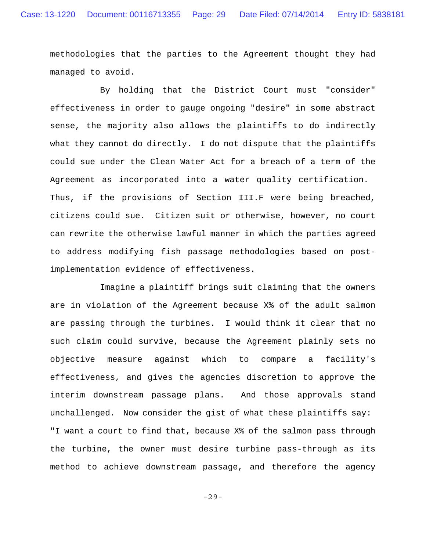methodologies that the parties to the Agreement thought they had managed to avoid.

By holding that the District Court must "consider" effectiveness in order to gauge ongoing "desire" in some abstract sense, the majority also allows the plaintiffs to do indirectly what they cannot do directly. I do not dispute that the plaintiffs could sue under the Clean Water Act for a breach of a term of the Agreement as incorporated into a water quality certification. Thus, if the provisions of Section III.F were being breached, citizens could sue. Citizen suit or otherwise, however, no court can rewrite the otherwise lawful manner in which the parties agreed to address modifying fish passage methodologies based on postimplementation evidence of effectiveness.

Imagine a plaintiff brings suit claiming that the owners are in violation of the Agreement because X% of the adult salmon are passing through the turbines. I would think it clear that no such claim could survive, because the Agreement plainly sets no objective measure against which to compare a facility's effectiveness, and gives the agencies discretion to approve the interim downstream passage plans. And those approvals stand unchallenged. Now consider the gist of what these plaintiffs say: "I want a court to find that, because X% of the salmon pass through the turbine, the owner must desire turbine pass-through as its method to achieve downstream passage, and therefore the agency

-29-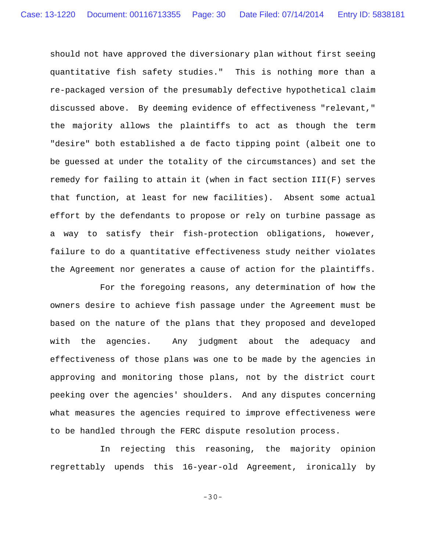should not have approved the diversionary plan without first seeing quantitative fish safety studies." This is nothing more than a re-packaged version of the presumably defective hypothetical claim discussed above. By deeming evidence of effectiveness "relevant," the majority allows the plaintiffs to act as though the term "desire" both established a de facto tipping point (albeit one to be guessed at under the totality of the circumstances) and set the remedy for failing to attain it (when in fact section III(F) serves that function, at least for new facilities). Absent some actual effort by the defendants to propose or rely on turbine passage as a way to satisfy their fish-protection obligations, however, failure to do a quantitative effectiveness study neither violates the Agreement nor generates a cause of action for the plaintiffs.

For the foregoing reasons, any determination of how the owners desire to achieve fish passage under the Agreement must be based on the nature of the plans that they proposed and developed with the agencies. Any judgment about the adequacy and effectiveness of those plans was one to be made by the agencies in approving and monitoring those plans, not by the district court peeking over the agencies' shoulders. And any disputes concerning what measures the agencies required to improve effectiveness were to be handled through the FERC dispute resolution process.

In rejecting this reasoning, the majority opinion regrettably upends this 16-year-old Agreement, ironically by

-30-